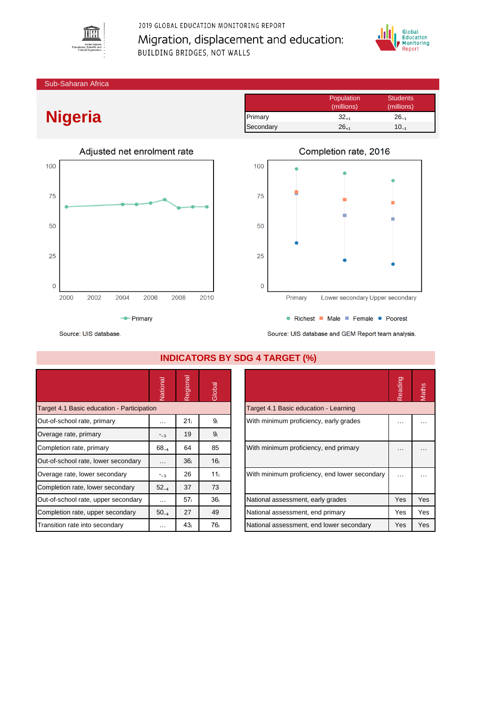

2019 GLOBAL EDUCATION MONITORING REPORT Migration, displacement and education: **BUILDING BRIDGES, NOT WALLS** 



Sub-Saharan Africa

## **Nigeria**







Source: UIS database

|                                            | Vational  | Regional        | Global          |                                               | Reading              | Maths    |
|--------------------------------------------|-----------|-----------------|-----------------|-----------------------------------------------|----------------------|----------|
| Target 4.1 Basic education - Participation |           |                 |                 | Target 4.1 Basic education - Learning         |                      |          |
| Out-of-school rate, primary                | $\cdots$  | 21 <sub>i</sub> | 9 <sub>i</sub>  | With minimum proficiency, early grades        | $\cdots$             | $\cdots$ |
| Overage rate, primary                      | $-3$      | 19              | 9 <sub>i</sub>  |                                               |                      |          |
| Completion rate, primary                   | $68_{-4}$ | 64              | 85              | With minimum proficiency, end primary         | $\cdots$             | $\cdots$ |
| Out-of-school rate, lower secondary        | $\cdots$  | 36 <sub>i</sub> | 16 <sub>i</sub> |                                               |                      |          |
| Overage rate, lower secondary              | $-3$      | 26              | 11 <sub>i</sub> | With minimum proficiency, end lower secondary | $\sim$ $\sim$ $\sim$ | .        |
| Completion rate, lower secondary           | $52_{-4}$ | 37              | 73              |                                               |                      |          |
| Out-of-school rate, upper secondary        | $\cdots$  | 57 <sub>i</sub> | 36 <sub>i</sub> | National assessment, early grades             | <b>Yes</b>           | Yes      |
| Completion rate, upper secondary           | $50_{-4}$ | 27              | 49              | National assessment, end primary              | Yes                  | Yes      |
| Transition rate into secondary             | $\cdots$  | 43 <sub>i</sub> | 76 <sub>i</sub> | National assessment, end lower secondary      | Yes                  | Yes      |

**INDICATORS BY SDG 4 TARGET (%)**

|                                               | Reading | <b>Jaths</b> |
|-----------------------------------------------|---------|--------------|
| Target 4.1 Basic education - Learning         |         |              |
| With minimum proficiency, early grades        |         |              |
| With minimum proficiency, end primary         |         |              |
| With minimum proficiency, end lower secondary |         |              |
| National assessment, early grades             | Yes     | Yes          |
| National assessment, end primary              | Yes     | Yes          |
| National assessment, end lower secondary      | Yes     | Yes          |

Source: UIS database and GEM Report team analysis.